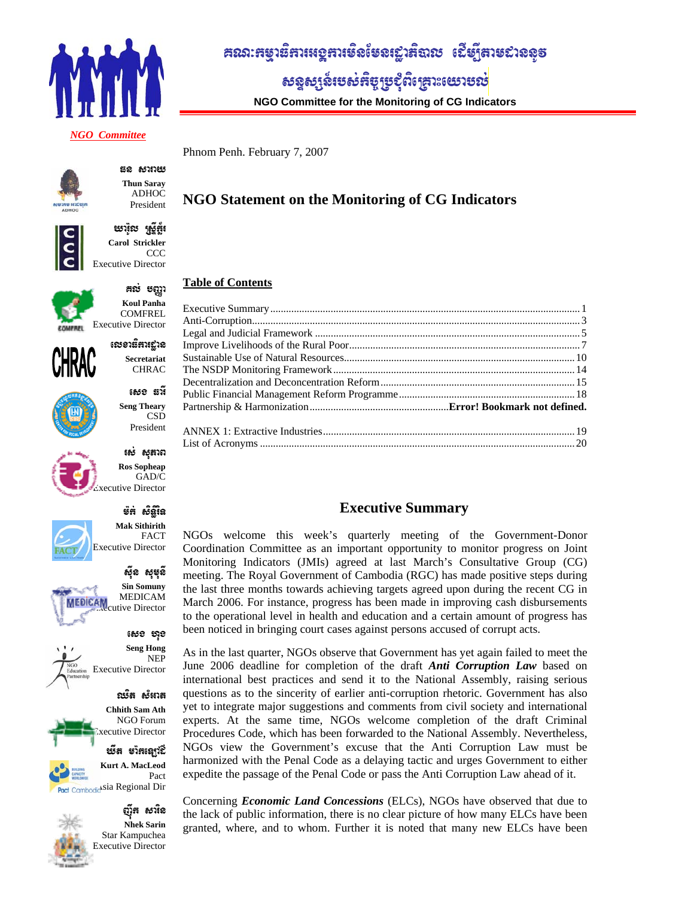

# $\kappa$ រណៈអម្មាន៏អារម្មខ្លូអារម្មិនមែនរដ្ឋានិងារប $\,$  (ស្ថិ៍ម្យុំតារមសាននុក

## សន្ទស្សង៍របស់អិត្យូបូទ័ពិព្រោះយោបល់

**NGO Committee for the Monitoring of CG Indicators** 

*NGO Committee* 



**BR** SMICS **Thun Saray**  ADHOC President

જી પ્રદેશન **Carol Strickler CCC** 





Phnom Penh. February 7, 2007

### **Executive Summary**

NGOs welcome this week's quarterly meeting of the Government-Donor Coordination Committee as an important opportunity to monitor progress on Joint Monitoring Indicators (JMIs) agreed at last March's Consultative Group (CG) meeting. The Royal Government of Cambodia (RGC) has made positive steps during the last three months towards achieving targets agreed upon during the recent CG in March 2006. For instance, progress has been made in improving cash disbursements to the operational level in health and education and a certain amount of progress has been noticed in bringing court cases against persons accused of corrupt acts.

As in the last quarter, NGOs observe that Government has yet again failed to meet the June 2006 deadline for completion of the draft *Anti Corruption Law* based on international best practices and send it to the National Assembly, raising serious questions as to the sincerity of earlier anti-corruption rhetoric. Government has also yet to integrate major suggestions and comments from civil society and international experts. At the same time, NGOs welcome completion of the draft Criminal Procedures Code, which has been forwarded to the National Assembly. Nevertheless, NGOs view the Government's excuse that the Anti Corruption Law must be harmonized with the Penal Code as a delaying tactic and urges Government to either expedite the passage of the Penal Code or pass the Anti Corruption Law ahead of it.

Concerning *Economic Land Concessions* (ELCs), NGOs have observed that due to the lack of public information, there is no clear picture of how many ELCs have been granted, where, and to whom. Further it is noted that many new ELCs have been

Executive Director

Kl; bBaØa **Koul Panha COMFREL** Executive Director

> เซอาธิสมณาล **Secretariat CHRAC** esg FarI **Seng Theary**  CSD President





រស់ ស្នងរព **Ros Sopheap**  GAD/C **Executive Director** 



**Mak Sithirith**  FACT Executive Director

ម្មវិន្ទុ ស្ទុងខ្ញុំ **Sin Somuny**  MEDICAM MEDICAM THE Director

> esg hug **Seng Hong**  NEP

 $\ddot{s}$ n:  $\ddot{s}$ gia

Executive Director

ณ์ส សំនាត **Chhith Sam Ath**  NGO Forum

ecutive Director Wa marit





ញ៊ុំង សរសៃ **Nhek Sarin**  Star Kampuchea Executive Director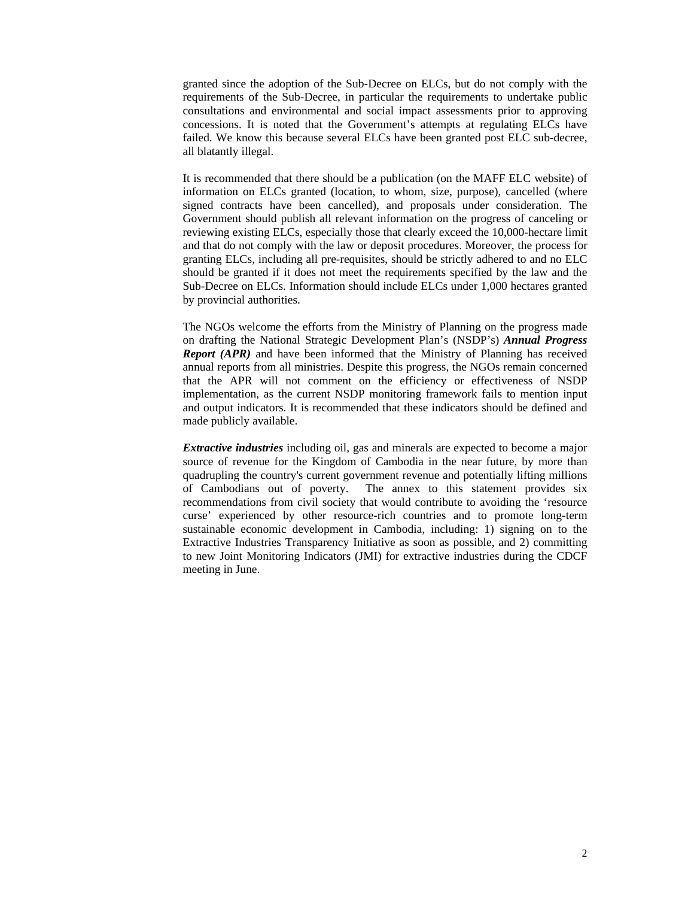granted since the adoption of the Sub-Decree on ELCs, but do not comply with the requirements of the Sub-Decree, in particular the requirements to undertake public consultations and environmental and social impact assessments prior to approving concessions. It is noted that the Government's attempts at regulating ELCs have failed. We know this because several ELCs have been granted post ELC sub-decree, all blatantly illegal.

It is recommended that there should be a publication (on the MAFF ELC website) of information on ELCs granted (location, to whom, size, purpose), cancelled (where signed contracts have been cancelled), and proposals under consideration. The Government should publish all relevant information on the progress of canceling or reviewing existing ELCs, especially those that clearly exceed the 10,000-hectare limit and that do not comply with the law or deposit procedures. Moreover, the process for granting ELCs, including all pre-requisites, should be strictly adhered to and no ELC should be granted if it does not meet the requirements specified by the law and the Sub-Decree on ELCs. Information should include ELCs under 1,000 hectares granted by provincial authorities.

The NGOs welcome the efforts from the Ministry of Planning on the progress made on drafting the National Strategic Development Plan's (NSDP's) *Annual Progress Report (APR)* and have been informed that the Ministry of Planning has received annual reports from all ministries. Despite this progress, the NGOs remain concerned that the APR will not comment on the efficiency or effectiveness of NSDP implementation, as the current NSDP monitoring framework fails to mention input and output indicators. It is recommended that these indicators should be defined and made publicly available.

*Extractive industries* including oil, gas and minerals are expected to become a major source of revenue for the Kingdom of Cambodia in the near future, by more than quadrupling the country's current government revenue and potentially lifting millions of Cambodians out of poverty. The annex to this statement provides six recommendations from civil society that would contribute to avoiding the 'resource curse' experienced by other resource-rich countries and to promote long-term sustainable economic development in Cambodia, including: 1) signing on to the Extractive Industries Transparency Initiative as soon as possible, and 2) committing to new Joint Monitoring Indicators (JMI) for extractive industries during the CDCF meeting in June.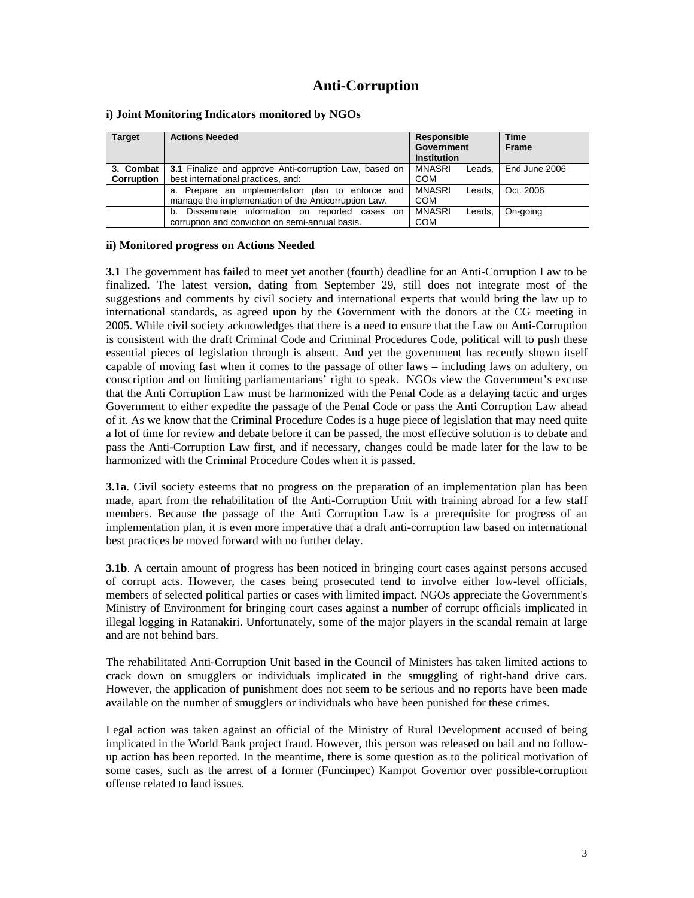### **Anti-Corruption**

### **i) Joint Monitoring Indicators monitored by NGOs**

| <b>Target</b> | <b>Actions Needed</b>                                         | Responsible<br><b>Government</b><br><b>Institution</b> | <b>Time</b><br><b>Frame</b> |
|---------------|---------------------------------------------------------------|--------------------------------------------------------|-----------------------------|
| 3. Combat     | <b>3.1</b> Finalize and approve Anti-corruption Law, based on | MNASRI<br>Leads.                                       | End June 2006               |
| Corruption    | best international practices, and:                            | <b>COM</b>                                             |                             |
|               | a. Prepare an implementation plan to enforce and              | <b>MNASRI</b><br>Leads.                                | Oct. 2006                   |
|               | manage the implementation of the Anticorruption Law.          | <b>COM</b>                                             |                             |
|               | Disseminate information on reported cases on<br>b.            | MNASRI<br>Leads,                                       | On-going                    |
|               | corruption and conviction on semi-annual basis.               | <b>COM</b>                                             |                             |

#### **ii) Monitored progress on Actions Needed**

**3.1** The government has failed to meet yet another (fourth) deadline for an Anti-Corruption Law to be finalized. The latest version, dating from September 29, still does not integrate most of the suggestions and comments by civil society and international experts that would bring the law up to international standards, as agreed upon by the Government with the donors at the CG meeting in 2005. While civil society acknowledges that there is a need to ensure that the Law on Anti-Corruption is consistent with the draft Criminal Code and Criminal Procedures Code, political will to push these essential pieces of legislation through is absent. And yet the government has recently shown itself capable of moving fast when it comes to the passage of other laws – including laws on adultery, on conscription and on limiting parliamentarians' right to speak. NGOs view the Government's excuse that the Anti Corruption Law must be harmonized with the Penal Code as a delaying tactic and urges Government to either expedite the passage of the Penal Code or pass the Anti Corruption Law ahead of it. As we know that the Criminal Procedure Codes is a huge piece of legislation that may need quite a lot of time for review and debate before it can be passed, the most effective solution is to debate and pass the Anti-Corruption Law first, and if necessary, changes could be made later for the law to be harmonized with the Criminal Procedure Codes when it is passed.

**3.1a**. Civil society esteems that no progress on the preparation of an implementation plan has been made, apart from the rehabilitation of the Anti-Corruption Unit with training abroad for a few staff members. Because the passage of the Anti Corruption Law is a prerequisite for progress of an implementation plan, it is even more imperative that a draft anti-corruption law based on international best practices be moved forward with no further delay.

**3.1b**. A certain amount of progress has been noticed in bringing court cases against persons accused of corrupt acts. However, the cases being prosecuted tend to involve either low-level officials, members of selected political parties or cases with limited impact. NGOs appreciate the Government's Ministry of Environment for bringing court cases against a number of corrupt officials implicated in illegal logging in Ratanakiri. Unfortunately, some of the major players in the scandal remain at large and are not behind bars.

The rehabilitated Anti-Corruption Unit based in the Council of Ministers has taken limited actions to crack down on smugglers or individuals implicated in the smuggling of right-hand drive cars. However, the application of punishment does not seem to be serious and no reports have been made available on the number of smugglers or individuals who have been punished for these crimes.

Legal action was taken against an official of the Ministry of Rural Development accused of being implicated in the World Bank project fraud. However, this person was released on bail and no followup action has been reported. In the meantime, there is some question as to the political motivation of some cases, such as the arrest of a former (Funcinpec) Kampot Governor over possible-corruption offense related to land issues.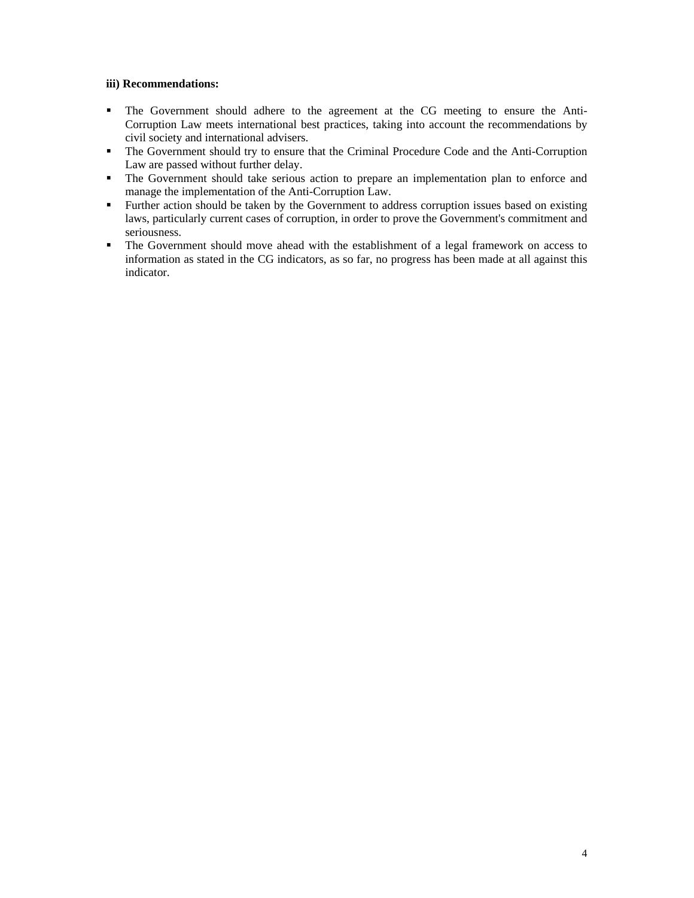### **iii) Recommendations:**

- The Government should adhere to the agreement at the CG meeting to ensure the Anti-Corruption Law meets international best practices, taking into account the recommendations by civil society and international advisers.
- The Government should try to ensure that the Criminal Procedure Code and the Anti-Corruption Law are passed without further delay.
- The Government should take serious action to prepare an implementation plan to enforce and manage the implementation of the Anti-Corruption Law.
- **Further action should be taken by the Government to address corruption issues based on existing** laws, particularly current cases of corruption, in order to prove the Government's commitment and seriousness.
- The Government should move ahead with the establishment of a legal framework on access to information as stated in the CG indicators, as so far, no progress has been made at all against this indicator.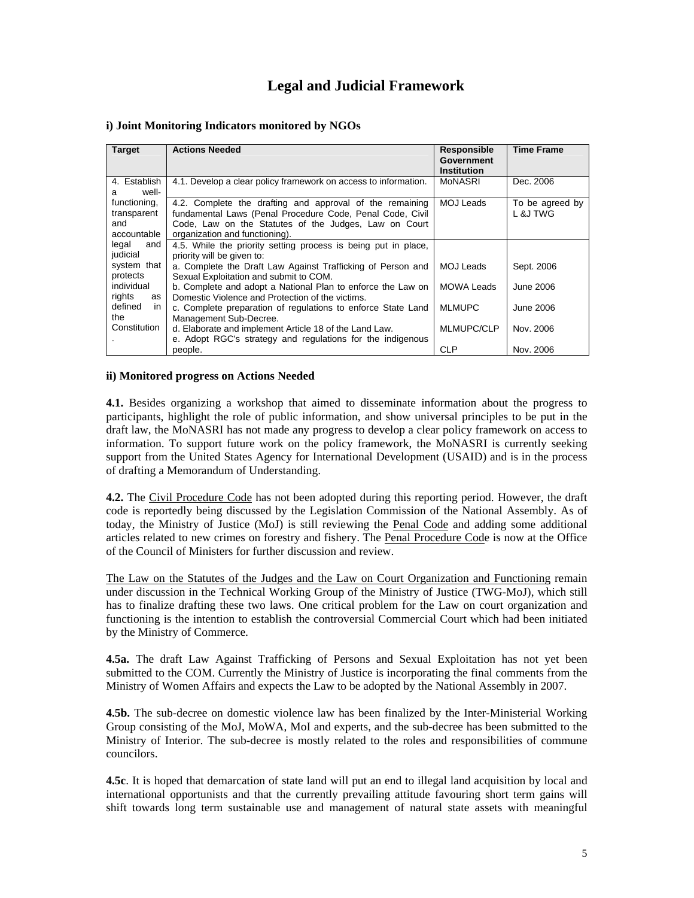### **Legal and Judicial Framework**

|  |  | i) Joint Monitoring Indicators monitored by NGOs |  |
|--|--|--------------------------------------------------|--|
|  |  |                                                  |  |

| <b>Target</b>                                     | <b>Actions Needed</b>                                                                                                                                                                                            | Responsible<br>Government<br><b>Institution</b> | <b>Time Frame</b>           |
|---------------------------------------------------|------------------------------------------------------------------------------------------------------------------------------------------------------------------------------------------------------------------|-------------------------------------------------|-----------------------------|
| 4. Establish<br>well-<br>a                        | 4.1. Develop a clear policy framework on access to information.                                                                                                                                                  | <b>MoNASRI</b>                                  | Dec. 2006                   |
| functioning,<br>transparent<br>and<br>accountable | 4.2. Complete the drafting and approval of the remaining<br>fundamental Laws (Penal Procedure Code, Penal Code, Civil<br>Code, Law on the Statutes of the Judges, Law on Court<br>organization and functioning). | <b>MOJ Leads</b>                                | To be agreed by<br>L &J TWG |
| legal<br>and<br>judicial                          | 4.5. While the priority setting process is being put in place,<br>priority will be given to:                                                                                                                     |                                                 |                             |
| system that<br>protects                           | a. Complete the Draft Law Against Trafficking of Person and<br>Sexual Exploitation and submit to COM.                                                                                                            | <b>MOJ Leads</b>                                | Sept. 2006                  |
| individual<br>rights<br>as                        | b. Complete and adopt a National Plan to enforce the Law on<br>Domestic Violence and Protection of the victims.                                                                                                  | <b>MOWA Leads</b>                               | June 2006                   |
| defined<br>in.<br>the                             | c. Complete preparation of regulations to enforce State Land<br>Management Sub-Decree.                                                                                                                           | <b>MLMUPC</b>                                   | June 2006                   |
| Constitution                                      | d. Elaborate and implement Article 18 of the Land Law.<br>e. Adopt RGC's strategy and regulations for the indigenous                                                                                             | MLMUPC/CLP                                      | Nov. 2006                   |
|                                                   | people.                                                                                                                                                                                                          | <b>CLP</b>                                      | Nov. 2006                   |

#### **ii) Monitored progress on Actions Needed**

**4.1.** Besides organizing a workshop that aimed to disseminate information about the progress to participants, highlight the role of public information, and show universal principles to be put in the draft law, the MoNASRI has not made any progress to develop a clear policy framework on access to information. To support future work on the policy framework, the MoNASRI is currently seeking support from the United States Agency for International Development (USAID) and is in the process of drafting a Memorandum of Understanding.

**4.2.** The Civil Procedure Code has not been adopted during this reporting period. However, the draft code is reportedly being discussed by the Legislation Commission of the National Assembly. As of today, the Ministry of Justice (MoJ) is still reviewing the Penal Code and adding some additional articles related to new crimes on forestry and fishery. The Penal Procedure Code is now at the Office of the Council of Ministers for further discussion and review.

The Law on the Statutes of the Judges and the Law on Court Organization and Functioning remain under discussion in the Technical Working Group of the Ministry of Justice (TWG-MoJ), which still has to finalize drafting these two laws. One critical problem for the Law on court organization and functioning is the intention to establish the controversial Commercial Court which had been initiated by the Ministry of Commerce.

**4.5a.** The draft Law Against Trafficking of Persons and Sexual Exploitation has not yet been submitted to the COM. Currently the Ministry of Justice is incorporating the final comments from the Ministry of Women Affairs and expects the Law to be adopted by the National Assembly in 2007.

**4.5b.** The sub-decree on domestic violence law has been finalized by the Inter-Ministerial Working Group consisting of the MoJ, MoWA, MoI and experts, and the sub-decree has been submitted to the Ministry of Interior. The sub-decree is mostly related to the roles and responsibilities of commune councilors.

**4.5c**. It is hoped that demarcation of state land will put an end to illegal land acquisition by local and international opportunists and that the currently prevailing attitude favouring short term gains will shift towards long term sustainable use and management of natural state assets with meaningful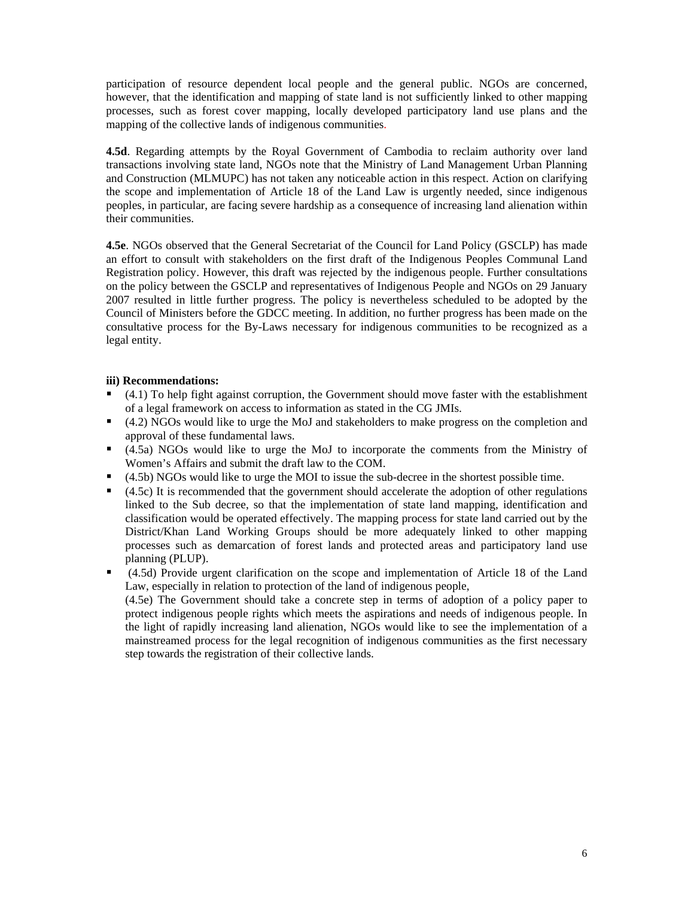participation of resource dependent local people and the general public. NGOs are concerned, however, that the identification and mapping of state land is not sufficiently linked to other mapping processes, such as forest cover mapping, locally developed participatory land use plans and the mapping of the collective lands of indigenous communities.

**4.5d**. Regarding attempts by the Royal Government of Cambodia to reclaim authority over land transactions involving state land, NGOs note that the Ministry of Land Management Urban Planning and Construction (MLMUPC) has not taken any noticeable action in this respect. Action on clarifying the scope and implementation of Article 18 of the Land Law is urgently needed, since indigenous peoples, in particular, are facing severe hardship as a consequence of increasing land alienation within their communities.

**4.5e**. NGOs observed that the General Secretariat of the Council for Land Policy (GSCLP) has made an effort to consult with stakeholders on the first draft of the Indigenous Peoples Communal Land Registration policy. However, this draft was rejected by the indigenous people. Further consultations on the policy between the GSCLP and representatives of Indigenous People and NGOs on 29 January 2007 resulted in little further progress. The policy is nevertheless scheduled to be adopted by the Council of Ministers before the GDCC meeting. In addition, no further progress has been made on the consultative process for the By-Laws necessary for indigenous communities to be recognized as a legal entity.

### **iii) Recommendations:**

- (4.1) To help fight against corruption, the Government should move faster with the establishment of a legal framework on access to information as stated in the CG JMIs.
- (4.2) NGOs would like to urge the MoJ and stakeholders to make progress on the completion and approval of these fundamental laws.
- (4.5a) NGOs would like to urge the MoJ to incorporate the comments from the Ministry of Women's Affairs and submit the draft law to the COM.
- (4.5b) NGOs would like to urge the MOI to issue the sub-decree in the shortest possible time.
- (4.5c) It is recommended that the government should accelerate the adoption of other regulations linked to the Sub decree, so that the implementation of state land mapping, identification and classification would be operated effectively. The mapping process for state land carried out by the District/Khan Land Working Groups should be more adequately linked to other mapping processes such as demarcation of forest lands and protected areas and participatory land use planning (PLUP).
- (4.5d) Provide urgent clarification on the scope and implementation of Article 18 of the Land Law, especially in relation to protection of the land of indigenous people, (4.5e) The Government should take a concrete step in terms of adoption of a policy paper to protect indigenous people rights which meets the aspirations and needs of indigenous people. In the light of rapidly increasing land alienation, NGOs would like to see the implementation of a mainstreamed process for the legal recognition of indigenous communities as the first necessary step towards the registration of their collective lands.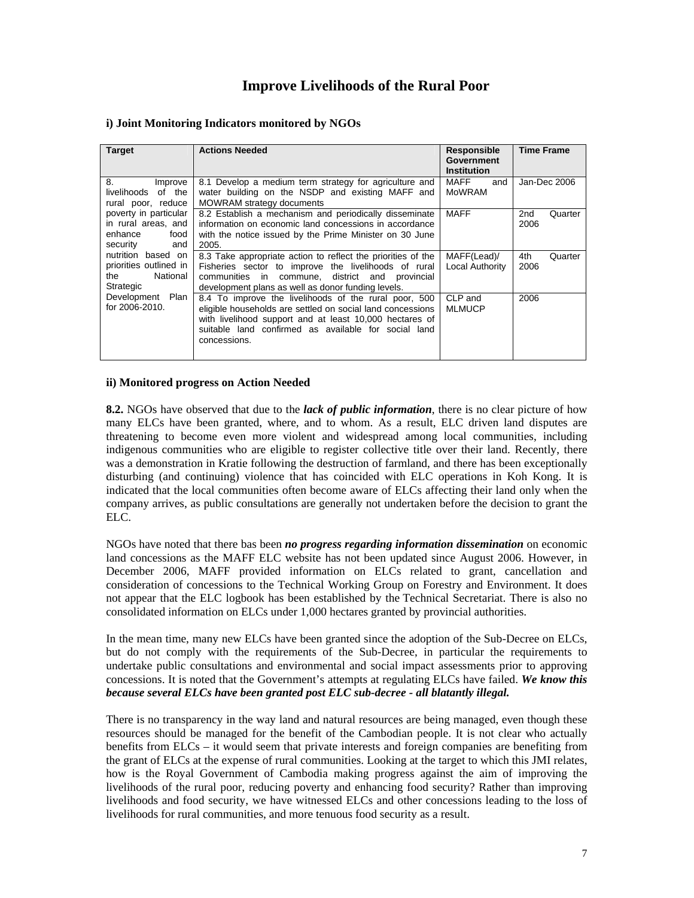### **Improve Livelihoods of the Rural Poor**

| <b>Target</b>                                                                      | <b>Actions Needed</b>                                                                                                                                                                                                                                  | <b>Responsible</b><br><b>Government</b><br><b>Institution</b> | <b>Time Frame</b>      |
|------------------------------------------------------------------------------------|--------------------------------------------------------------------------------------------------------------------------------------------------------------------------------------------------------------------------------------------------------|---------------------------------------------------------------|------------------------|
| 8.<br>Improve<br>livelihoods of the<br>rural poor, reduce                          | 8.1 Develop a medium term strategy for agriculture and<br>water building on the NSDP and existing MAFF and<br><b>MOWRAM strategy documents</b>                                                                                                         | MAFF<br>and<br>MoWRAM                                         | Jan-Dec 2006           |
| poverty in particular<br>in rural areas, and<br>enhance<br>food<br>security<br>and | 8.2 Establish a mechanism and periodically disseminate<br>information on economic land concessions in accordance<br>with the notice issued by the Prime Minister on 30 June<br>2005.                                                                   | <b>MAFF</b>                                                   | 2nd<br>Quarter<br>2006 |
| nutrition based on<br>priorities outlined in<br>National<br>the<br>Strategic       | 8.3 Take appropriate action to reflect the priorities of the<br>Fisheries sector to improve the livelihoods of rural<br>communities in commune, district and provincial<br>development plans as well as donor funding levels.                          | MAFF(Lead)/<br>Local Authority                                | 4th<br>Quarter<br>2006 |
| Development Plan<br>for 2006-2010.                                                 | 8.4 To improve the livelihoods of the rural poor, 500<br>eligible households are settled on social land concessions<br>with livelihood support and at least 10,000 hectares of<br>suitable land confirmed as available for social land<br>concessions. | CLP and<br><b>MLMUCP</b>                                      | 2006                   |

#### **i) Joint Monitoring Indicators monitored by NGOs**

#### **ii) Monitored progress on Action Needed**

**8.2.** NGOs have observed that due to the *lack of public information*, there is no clear picture of how many ELCs have been granted, where, and to whom. As a result, ELC driven land disputes are threatening to become even more violent and widespread among local communities, including indigenous communities who are eligible to register collective title over their land. Recently, there was a demonstration in Kratie following the destruction of farmland, and there has been exceptionally disturbing (and continuing) violence that has coincided with ELC operations in Koh Kong. It is indicated that the local communities often become aware of ELCs affecting their land only when the company arrives, as public consultations are generally not undertaken before the decision to grant the ELC.

NGOs have noted that there bas been *no progress regarding information dissemination* on economic land concessions as the MAFF ELC website has not been updated since August 2006. However, in December 2006, MAFF provided information on ELCs related to grant, cancellation and consideration of concessions to the Technical Working Group on Forestry and Environment. It does not appear that the ELC logbook has been established by the Technical Secretariat. There is also no consolidated information on ELCs under 1,000 hectares granted by provincial authorities.

In the mean time, many new ELCs have been granted since the adoption of the Sub-Decree on ELCs, but do not comply with the requirements of the Sub-Decree, in particular the requirements to undertake public consultations and environmental and social impact assessments prior to approving concessions. It is noted that the Government's attempts at regulating ELCs have failed. *We know this because several ELCs have been granted post ELC sub-decree - all blatantly illegal.*

There is no transparency in the way land and natural resources are being managed, even though these resources should be managed for the benefit of the Cambodian people. It is not clear who actually benefits from ELCs – it would seem that private interests and foreign companies are benefiting from the grant of ELCs at the expense of rural communities. Looking at the target to which this JMI relates, how is the Royal Government of Cambodia making progress against the aim of improving the livelihoods of the rural poor, reducing poverty and enhancing food security? Rather than improving livelihoods and food security, we have witnessed ELCs and other concessions leading to the loss of livelihoods for rural communities, and more tenuous food security as a result.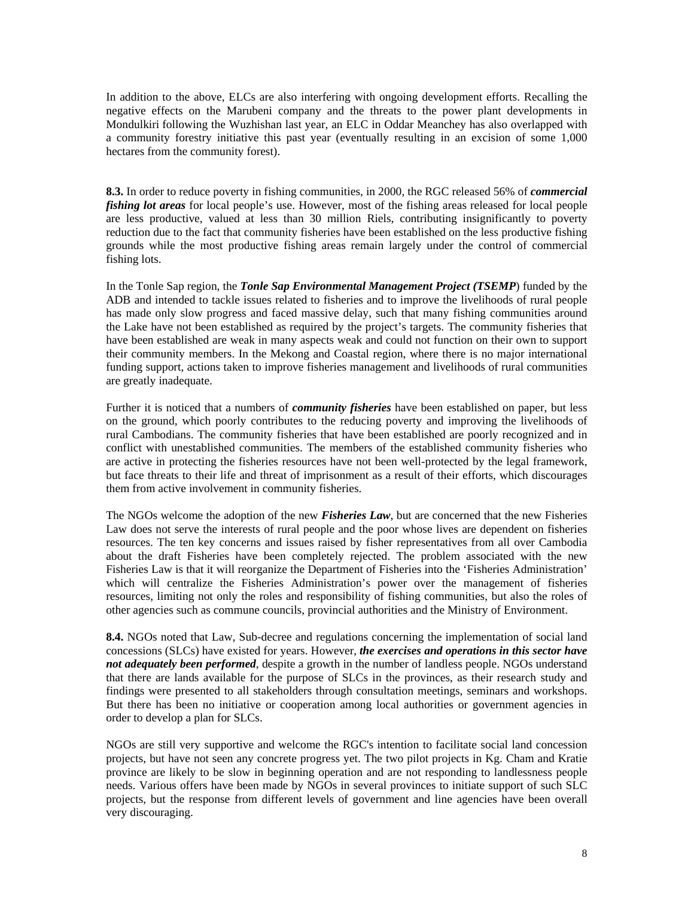In addition to the above, ELCs are also interfering with ongoing development efforts. Recalling the negative effects on the Marubeni company and the threats to the power plant developments in Mondulkiri following the Wuzhishan last year, an ELC in Oddar Meanchey has also overlapped with a community forestry initiative this past year (eventually resulting in an excision of some 1,000 hectares from the community forest).

**8.3.** In order to reduce poverty in fishing communities, in 2000, the RGC released 56% of *commercial fishing lot areas* for local people's use. However, most of the fishing areas released for local people are less productive, valued at less than 30 million Riels, contributing insignificantly to poverty reduction due to the fact that community fisheries have been established on the less productive fishing grounds while the most productive fishing areas remain largely under the control of commercial fishing lots.

In the Tonle Sap region, the *Tonle Sap Environmental Management Project (TSEMP*) funded by the ADB and intended to tackle issues related to fisheries and to improve the livelihoods of rural people has made only slow progress and faced massive delay, such that many fishing communities around the Lake have not been established as required by the project's targets. The community fisheries that have been established are weak in many aspects weak and could not function on their own to support their community members. In the Mekong and Coastal region, where there is no major international funding support, actions taken to improve fisheries management and livelihoods of rural communities are greatly inadequate.

Further it is noticed that a numbers of *community fisheries* have been established on paper, but less on the ground, which poorly contributes to the reducing poverty and improving the livelihoods of rural Cambodians. The community fisheries that have been established are poorly recognized and in conflict with unestablished communities. The members of the established community fisheries who are active in protecting the fisheries resources have not been well-protected by the legal framework, but face threats to their life and threat of imprisonment as a result of their efforts, which discourages them from active involvement in community fisheries.

The NGOs welcome the adoption of the new *Fisheries Law*, but are concerned that the new Fisheries Law does not serve the interests of rural people and the poor whose lives are dependent on fisheries resources. The ten key concerns and issues raised by fisher representatives from all over Cambodia about the draft Fisheries have been completely rejected. The problem associated with the new Fisheries Law is that it will reorganize the Department of Fisheries into the 'Fisheries Administration' which will centralize the Fisheries Administration's power over the management of fisheries resources, limiting not only the roles and responsibility of fishing communities, but also the roles of other agencies such as commune councils, provincial authorities and the Ministry of Environment.

**8.4.** NGOs noted that Law, Sub-decree and regulations concerning the implementation of social land concessions (SLCs) have existed for years. However, *the exercises and operations in this sector have not adequately been performed*, despite a growth in the number of landless people. NGOs understand that there are lands available for the purpose of SLCs in the provinces, as their research study and findings were presented to all stakeholders through consultation meetings, seminars and workshops. But there has been no initiative or cooperation among local authorities or government agencies in order to develop a plan for SLCs.

NGOs are still very supportive and welcome the RGC's intention to facilitate social land concession projects, but have not seen any concrete progress yet. The two pilot projects in Kg. Cham and Kratie province are likely to be slow in beginning operation and are not responding to landlessness people needs. Various offers have been made by NGOs in several provinces to initiate support of such SLC projects, but the response from different levels of government and line agencies have been overall very discouraging.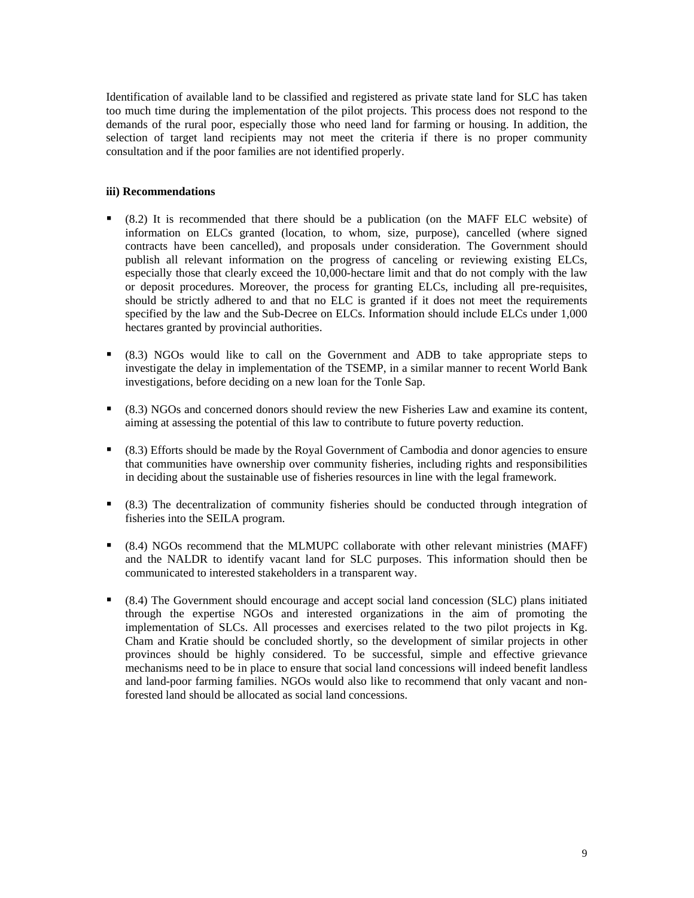Identification of available land to be classified and registered as private state land for SLC has taken too much time during the implementation of the pilot projects. This process does not respond to the demands of the rural poor, especially those who need land for farming or housing. In addition, the selection of target land recipients may not meet the criteria if there is no proper community consultation and if the poor families are not identified properly.

#### **iii) Recommendations**

- (8.2) It is recommended that there should be a publication (on the MAFF ELC website) of information on ELCs granted (location, to whom, size, purpose), cancelled (where signed contracts have been cancelled), and proposals under consideration. The Government should publish all relevant information on the progress of canceling or reviewing existing ELCs, especially those that clearly exceed the 10,000-hectare limit and that do not comply with the law or deposit procedures. Moreover, the process for granting ELCs, including all pre-requisites, should be strictly adhered to and that no ELC is granted if it does not meet the requirements specified by the law and the Sub-Decree on ELCs. Information should include ELCs under 1,000 hectares granted by provincial authorities.
- (8.3) NGOs would like to call on the Government and ADB to take appropriate steps to investigate the delay in implementation of the TSEMP, in a similar manner to recent World Bank investigations, before deciding on a new loan for the Tonle Sap.
- (8.3) NGOs and concerned donors should review the new Fisheries Law and examine its content, aiming at assessing the potential of this law to contribute to future poverty reduction.
- (8.3) Efforts should be made by the Royal Government of Cambodia and donor agencies to ensure that communities have ownership over community fisheries, including rights and responsibilities in deciding about the sustainable use of fisheries resources in line with the legal framework.
- (8.3) The decentralization of community fisheries should be conducted through integration of fisheries into the SEILA program.
- (8.4) NGOs recommend that the MLMUPC collaborate with other relevant ministries (MAFF) and the NALDR to identify vacant land for SLC purposes. This information should then be communicated to interested stakeholders in a transparent way.
- (8.4) The Government should encourage and accept social land concession (SLC) plans initiated through the expertise NGOs and interested organizations in the aim of promoting the implementation of SLCs. All processes and exercises related to the two pilot projects in Kg. Cham and Kratie should be concluded shortly, so the development of similar projects in other provinces should be highly considered. To be successful, simple and effective grievance mechanisms need to be in place to ensure that social land concessions will indeed benefit landless and land-poor farming families. NGOs would also like to recommend that only vacant and nonforested land should be allocated as social land concessions.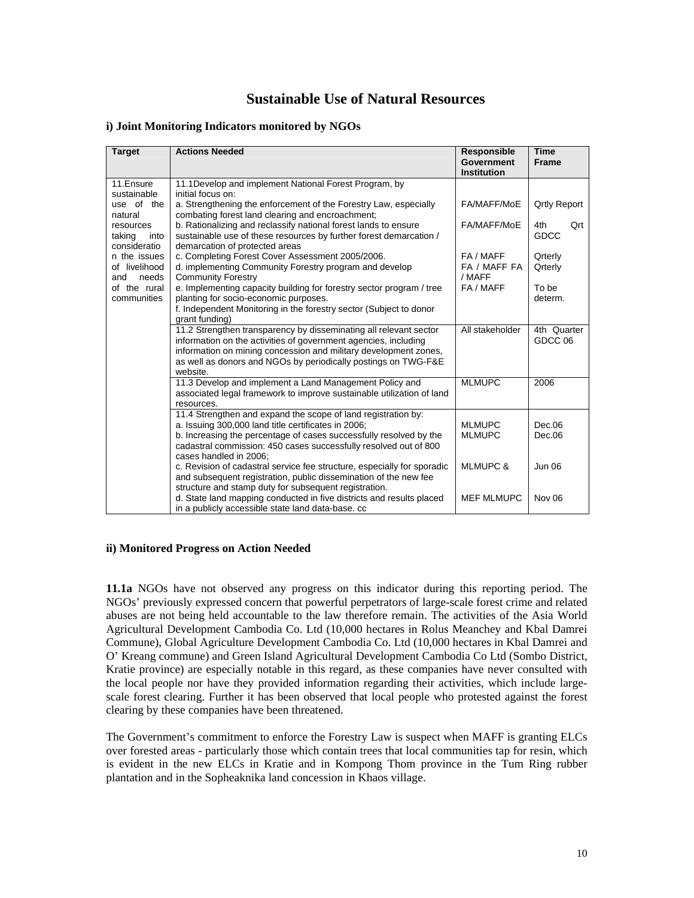### **Sustainable Use of Natural Resources**

#### **i) Joint Monitoring Indicators monitored by NGOs**

| <b>Target</b>          | <b>Actions Needed</b>                                                                                                                 | Responsible<br>Government<br><b>Institution</b> | <b>Time</b><br><b>Frame</b> |
|------------------------|---------------------------------------------------------------------------------------------------------------------------------------|-------------------------------------------------|-----------------------------|
| 11.Ensure              | 11.1Develop and implement National Forest Program, by                                                                                 |                                                 |                             |
| sustainable            | initial focus on:                                                                                                                     |                                                 |                             |
| use of the             | a. Strengthening the enforcement of the Forestry Law, especially                                                                      | FA/MAFF/MoE                                     | <b>Qrtly Report</b>         |
| natural                | combating forest land clearing and encroachment;                                                                                      |                                                 |                             |
| resources<br>into      | b. Rationalizing and reclassify national forest lands to ensure<br>sustainable use of these resources by further forest demarcation / | FA/MAFF/MoE                                     | 4th<br>Qrt<br>GDCC          |
| taking<br>consideratio | demarcation of protected areas                                                                                                        |                                                 |                             |
| n the issues           | c. Completing Forest Cover Assessment 2005/2006.                                                                                      | FA / MAFF                                       | Qrterly                     |
| of livelihood          | d. implementing Community Forestry program and develop                                                                                | FA / MAFF FA                                    | Qrterly                     |
| needs<br>and           | <b>Community Forestry</b>                                                                                                             | / MAFF                                          |                             |
| of the rural           | e. Implementing capacity building for forestry sector program / tree                                                                  | FA / MAFF                                       | To be                       |
| communities            | planting for socio-economic purposes.                                                                                                 |                                                 | determ.                     |
|                        | f. Independent Monitoring in the forestry sector (Subject to donor                                                                    |                                                 |                             |
|                        | grant funding)                                                                                                                        |                                                 |                             |
|                        | 11.2 Strengthen transparency by disseminating all relevant sector                                                                     | All stakeholder                                 | 4th Quarter<br>GDCC 06      |
|                        | information on the activities of government agencies, including<br>information on mining concession and military development zones,   |                                                 |                             |
|                        | as well as donors and NGOs by periodically postings on TWG-F&E                                                                        |                                                 |                             |
|                        | website.                                                                                                                              |                                                 |                             |
|                        | 11.3 Develop and implement a Land Management Policy and                                                                               | <b>MLMUPC</b>                                   | 2006                        |
|                        | associated legal framework to improve sustainable utilization of land                                                                 |                                                 |                             |
|                        | resources.                                                                                                                            |                                                 |                             |
|                        | 11.4 Strengthen and expand the scope of land registration by:                                                                         |                                                 |                             |
|                        | a. Issuing 300,000 land title certificates in 2006;                                                                                   | <b>MLMUPC</b>                                   | Dec.06                      |
|                        | b. Increasing the percentage of cases successfully resolved by the                                                                    | <b>MLMUPC</b>                                   | Dec.06                      |
|                        | cadastral commission: 450 cases successfully resolved out of 800<br>cases handled in 2006;                                            |                                                 |                             |
|                        | c. Revision of cadastral service fee structure, especially for sporadic                                                               | <b>MLMUPC &amp;</b>                             | <b>Jun 06</b>               |
|                        | and subsequent registration, public dissemination of the new fee                                                                      |                                                 |                             |
|                        | structure and stamp duty for subsequent registration.                                                                                 |                                                 |                             |
|                        | d. State land mapping conducted in five districts and results placed                                                                  | <b>MEF MLMUPC</b>                               | <b>Nov 06</b>               |
|                        | in a publicly accessible state land data-base. cc                                                                                     |                                                 |                             |

#### **ii) Monitored Progress on Action Needed**

**11.1a** NGOs have not observed any progress on this indicator during this reporting period. The NGOs' previously expressed concern that powerful perpetrators of large-scale forest crime and related abuses are not being held accountable to the law therefore remain. The activities of the Asia World Agricultural Development Cambodia Co. Ltd (10,000 hectares in Rolus Meanchey and Kbal Damrei Commune), Global Agriculture Development Cambodia Co. Ltd (10,000 hectares in Kbal Damrei and O' Kreang commune) and Green Island Agricultural Development Cambodia Co Ltd (Sombo District, Kratie province) are especially notable in this regard, as these companies have never consulted with the local people nor have they provided information regarding their activities, which include largescale forest clearing. Further it has been observed that local people who protested against the forest clearing by these companies have been threatened.

The Government's commitment to enforce the Forestry Law is suspect when MAFF is granting ELCs over forested areas - particularly those which contain trees that local communities tap for resin, which is evident in the new ELCs in Kratie and in Kompong Thom province in the Tum Ring rubber plantation and in the Sopheaknika land concession in Khaos village.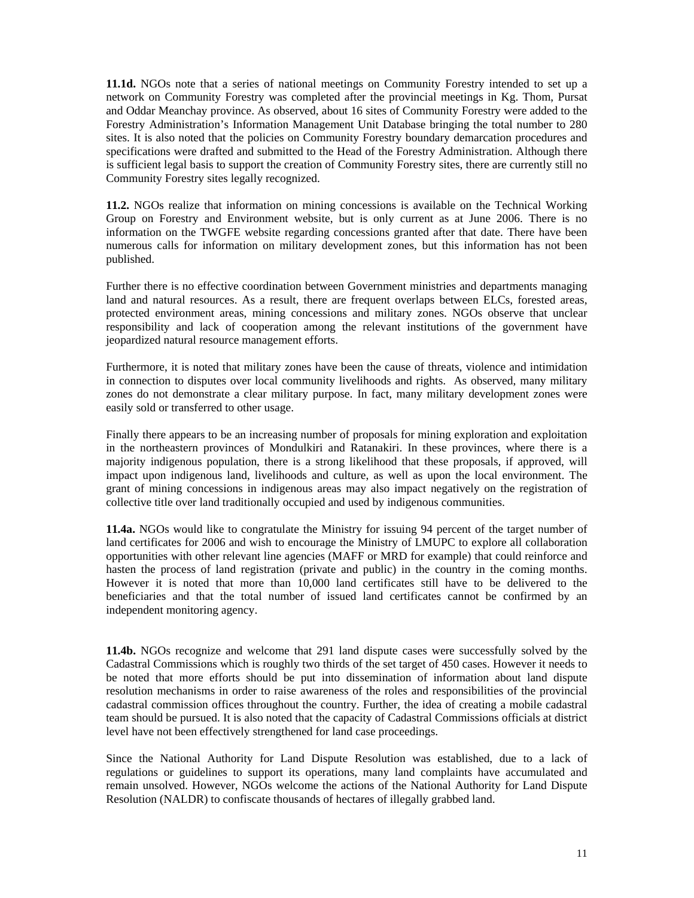**11.1d.** NGOs note that a series of national meetings on Community Forestry intended to set up a network on Community Forestry was completed after the provincial meetings in Kg. Thom, Pursat and Oddar Meanchay province. As observed, about 16 sites of Community Forestry were added to the Forestry Administration's Information Management Unit Database bringing the total number to 280 sites. It is also noted that the policies on Community Forestry boundary demarcation procedures and specifications were drafted and submitted to the Head of the Forestry Administration. Although there is sufficient legal basis to support the creation of Community Forestry sites, there are currently still no Community Forestry sites legally recognized.

**11.2.** NGOs realize that information on mining concessions is available on the Technical Working Group on Forestry and Environment website, but is only current as at June 2006. There is no information on the TWGFE website regarding concessions granted after that date. There have been numerous calls for information on military development zones, but this information has not been published.

Further there is no effective coordination between Government ministries and departments managing land and natural resources. As a result, there are frequent overlaps between ELCs, forested areas, protected environment areas, mining concessions and military zones. NGOs observe that unclear responsibility and lack of cooperation among the relevant institutions of the government have jeopardized natural resource management efforts.

Furthermore, it is noted that military zones have been the cause of threats, violence and intimidation in connection to disputes over local community livelihoods and rights. As observed, many military zones do not demonstrate a clear military purpose. In fact, many military development zones were easily sold or transferred to other usage.

Finally there appears to be an increasing number of proposals for mining exploration and exploitation in the northeastern provinces of Mondulkiri and Ratanakiri. In these provinces, where there is a majority indigenous population, there is a strong likelihood that these proposals, if approved, will impact upon indigenous land, livelihoods and culture, as well as upon the local environment. The grant of mining concessions in indigenous areas may also impact negatively on the registration of collective title over land traditionally occupied and used by indigenous communities.

**11.4a.** NGOs would like to congratulate the Ministry for issuing 94 percent of the target number of land certificates for 2006 and wish to encourage the Ministry of LMUPC to explore all collaboration opportunities with other relevant line agencies (MAFF or MRD for example) that could reinforce and hasten the process of land registration (private and public) in the country in the coming months. However it is noted that more than 10,000 land certificates still have to be delivered to the beneficiaries and that the total number of issued land certificates cannot be confirmed by an independent monitoring agency.

**11.4b.** NGOs recognize and welcome that 291 land dispute cases were successfully solved by the Cadastral Commissions which is roughly two thirds of the set target of 450 cases. However it needs to be noted that more efforts should be put into dissemination of information about land dispute resolution mechanisms in order to raise awareness of the roles and responsibilities of the provincial cadastral commission offices throughout the country. Further, the idea of creating a mobile cadastral team should be pursued. It is also noted that the capacity of Cadastral Commissions officials at district level have not been effectively strengthened for land case proceedings.

Since the National Authority for Land Dispute Resolution was established, due to a lack of regulations or guidelines to support its operations, many land complaints have accumulated and remain unsolved. However, NGOs welcome the actions of the National Authority for Land Dispute Resolution (NALDR) to confiscate thousands of hectares of illegally grabbed land.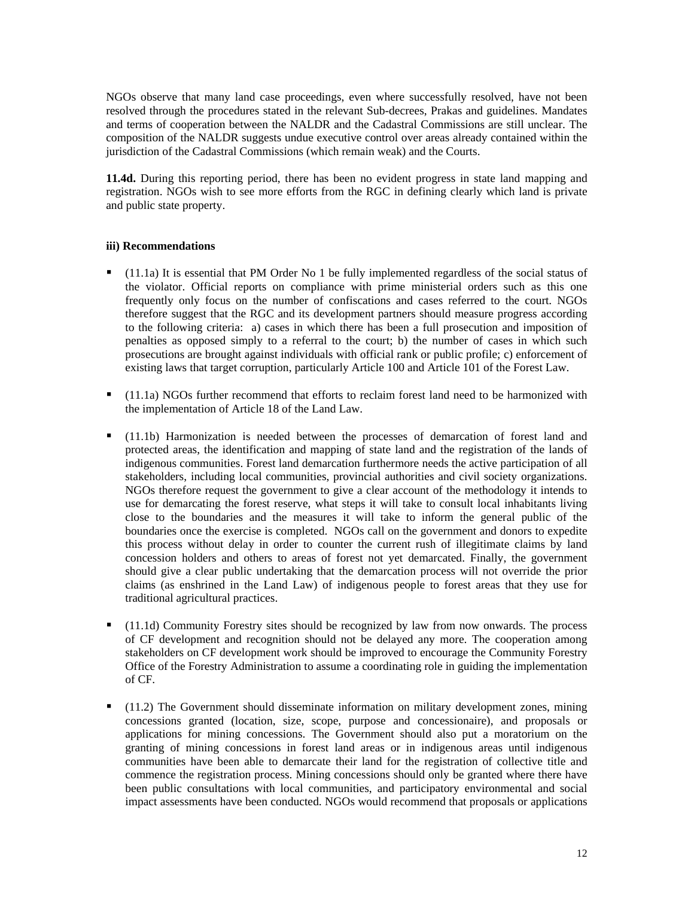NGOs observe that many land case proceedings, even where successfully resolved, have not been resolved through the procedures stated in the relevant Sub-decrees, Prakas and guidelines. Mandates and terms of cooperation between the NALDR and the Cadastral Commissions are still unclear. The composition of the NALDR suggests undue executive control over areas already contained within the jurisdiction of the Cadastral Commissions (which remain weak) and the Courts.

**11.4d.** During this reporting period, there has been no evident progress in state land mapping and registration. NGOs wish to see more efforts from the RGC in defining clearly which land is private and public state property.

### **iii) Recommendations**

- (11.1a) It is essential that PM Order No 1 be fully implemented regardless of the social status of the violator. Official reports on compliance with prime ministerial orders such as this one frequently only focus on the number of confiscations and cases referred to the court. NGOs therefore suggest that the RGC and its development partners should measure progress according to the following criteria: a) cases in which there has been a full prosecution and imposition of penalties as opposed simply to a referral to the court; b) the number of cases in which such prosecutions are brought against individuals with official rank or public profile; c) enforcement of existing laws that target corruption, particularly Article 100 and Article 101 of the Forest Law.
- (11.1a) NGOs further recommend that efforts to reclaim forest land need to be harmonized with the implementation of Article 18 of the Land Law.
- (11.1b) Harmonization is needed between the processes of demarcation of forest land and protected areas, the identification and mapping of state land and the registration of the lands of indigenous communities. Forest land demarcation furthermore needs the active participation of all stakeholders, including local communities, provincial authorities and civil society organizations. NGOs therefore request the government to give a clear account of the methodology it intends to use for demarcating the forest reserve, what steps it will take to consult local inhabitants living close to the boundaries and the measures it will take to inform the general public of the boundaries once the exercise is completed. NGOs call on the government and donors to expedite this process without delay in order to counter the current rush of illegitimate claims by land concession holders and others to areas of forest not yet demarcated. Finally, the government should give a clear public undertaking that the demarcation process will not override the prior claims (as enshrined in the Land Law) of indigenous people to forest areas that they use for traditional agricultural practices.
- (11.1d) Community Forestry sites should be recognized by law from now onwards. The process of CF development and recognition should not be delayed any more. The cooperation among stakeholders on CF development work should be improved to encourage the Community Forestry Office of the Forestry Administration to assume a coordinating role in guiding the implementation of CF.
- (11.2) The Government should disseminate information on military development zones, mining concessions granted (location, size, scope, purpose and concessionaire), and proposals or applications for mining concessions. The Government should also put a moratorium on the granting of mining concessions in forest land areas or in indigenous areas until indigenous communities have been able to demarcate their land for the registration of collective title and commence the registration process. Mining concessions should only be granted where there have been public consultations with local communities, and participatory environmental and social impact assessments have been conducted. NGOs would recommend that proposals or applications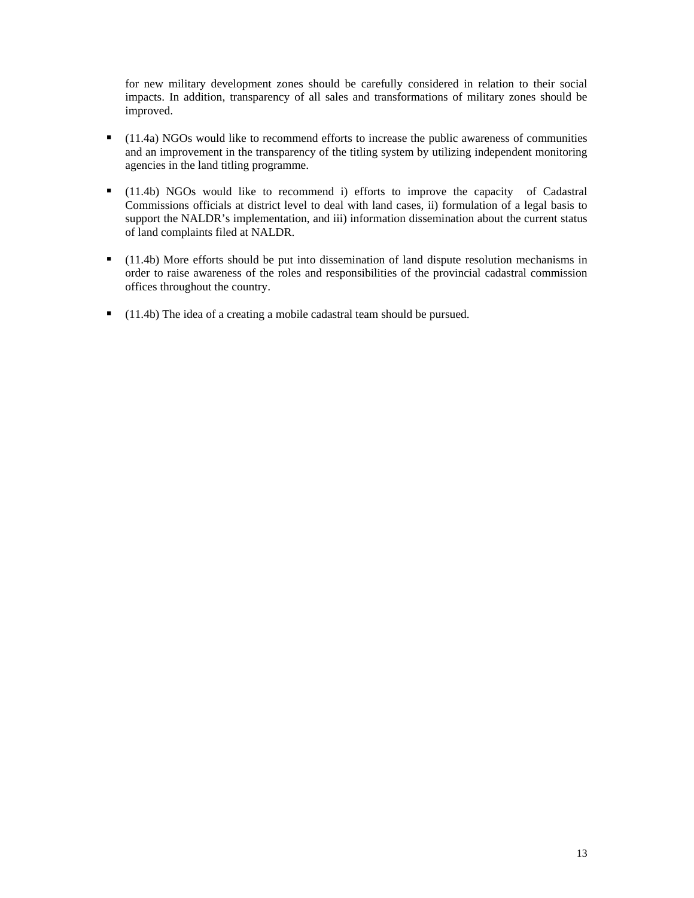for new military development zones should be carefully considered in relation to their social impacts. In addition, transparency of all sales and transformations of military zones should be improved.

- (11.4a) NGOs would like to recommend efforts to increase the public awareness of communities and an improvement in the transparency of the titling system by utilizing independent monitoring agencies in the land titling programme.
- (11.4b) NGOs would like to recommend i) efforts to improve the capacity of Cadastral Commissions officials at district level to deal with land cases, ii) formulation of a legal basis to support the NALDR's implementation, and iii) information dissemination about the current status of land complaints filed at NALDR.
- (11.4b) More efforts should be put into dissemination of land dispute resolution mechanisms in order to raise awareness of the roles and responsibilities of the provincial cadastral commission offices throughout the country.
- (11.4b) The idea of a creating a mobile cadastral team should be pursued.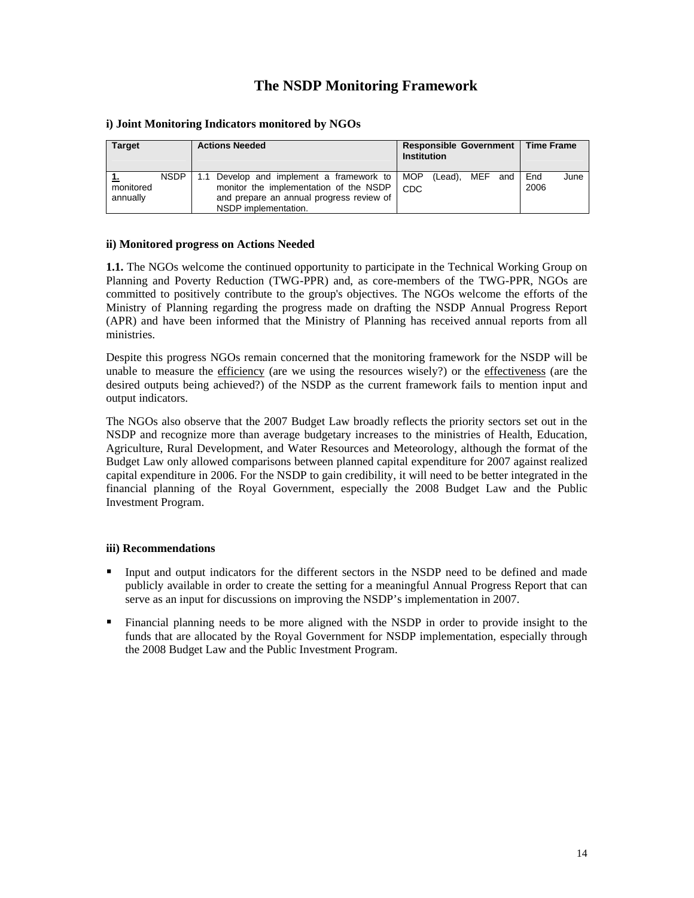### **The NSDP Monitoring Framework**

| $\mu$ come informed measurements momentum $\sigma$ , in $\sigma$ or |             |                                                                                                                                |                    |                               |  |                   |     |
|---------------------------------------------------------------------|-------------|--------------------------------------------------------------------------------------------------------------------------------|--------------------|-------------------------------|--|-------------------|-----|
| <b>Target</b>                                                       |             | <b>Actions Needed</b>                                                                                                          | <b>Institution</b> | <b>Responsible Government</b> |  | <b>Time Frame</b> |     |
| monitored<br>annually                                               | <b>NSDP</b> | 1.1 Develop and implement a framework to<br>monitor the implementation of the NSDP<br>and prepare an annual progress review of | MOP<br>CDC.        | (Lead), MEF and               |  | End<br>2006       | Jun |

### **i) Joint Monitoring Indicators monitored by NGOs**

NSDP implementation.

### **ii) Monitored progress on Actions Needed**

**1.1.** The NGOs welcome the continued opportunity to participate in the Technical Working Group on Planning and Poverty Reduction (TWG-PPR) and, as core-members of the TWG-PPR, NGOs are committed to positively contribute to the group's objectives. The NGOs welcome the efforts of the Ministry of Planning regarding the progress made on drafting the NSDP Annual Progress Report (APR) and have been informed that the Ministry of Planning has received annual reports from all ministries.

Despite this progress NGOs remain concerned that the monitoring framework for the NSDP will be unable to measure the efficiency (are we using the resources wisely?) or the effectiveness (are the desired outputs being achieved?) of the NSDP as the current framework fails to mention input and output indicators.

The NGOs also observe that the 2007 Budget Law broadly reflects the priority sectors set out in the NSDP and recognize more than average budgetary increases to the ministries of Health, Education, Agriculture, Rural Development, and Water Resources and Meteorology, although the format of the Budget Law only allowed comparisons between planned capital expenditure for 2007 against realized capital expenditure in 2006. For the NSDP to gain credibility, it will need to be better integrated in the financial planning of the Royal Government, especially the 2008 Budget Law and the Public Investment Program.

### **iii) Recommendations**

- Input and output indicators for the different sectors in the NSDP need to be defined and made publicly available in order to create the setting for a meaningful Annual Progress Report that can serve as an input for discussions on improving the NSDP's implementation in 2007.
- Financial planning needs to be more aligned with the NSDP in order to provide insight to the funds that are allocated by the Royal Government for NSDP implementation, especially through the 2008 Budget Law and the Public Investment Program.

**June**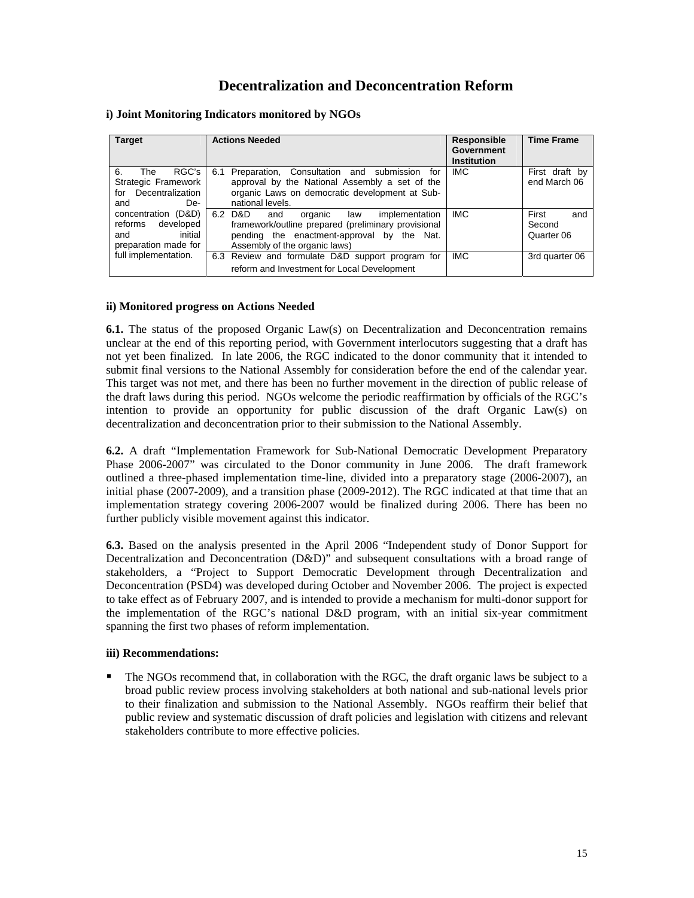### **Decentralization and Deconcentration Reform**

| Target                                                                                | <b>Actions Needed</b>                                                                                                                                                                       | Responsible<br>Government<br><b>Institution</b> | <b>Time Frame</b>                    |
|---------------------------------------------------------------------------------------|---------------------------------------------------------------------------------------------------------------------------------------------------------------------------------------------|-------------------------------------------------|--------------------------------------|
| RGC's<br>6.<br>The<br>Strategic Framework<br>Decentralization<br>for<br>De-<br>and    | 6.1 Preparation, Consultation and<br>submission<br>for<br>approval by the National Assembly a set of the<br>organic Laws on democratic development at Sub-<br>national levels.              | <b>IMC</b>                                      | First draft by<br>end March 06       |
| concentration (D&D)<br>reforms<br>developed<br>initial<br>and<br>preparation made for | 6.2 D&D<br>implementation<br>law<br>and<br>organic<br>framework/outline prepared (preliminary provisional<br>pending the enactment-approval by the<br>Nat.<br>Assembly of the organic laws) | <b>IMC</b>                                      | First<br>and<br>Second<br>Quarter 06 |
| full implementation.                                                                  | 6.3 Review and formulate D&D support program for<br>reform and Investment for Local Development                                                                                             | <b>IMC</b>                                      | 3rd quarter 06                       |

### **i) Joint Monitoring Indicators monitored by NGOs**

### **ii) Monitored progress on Actions Needed**

**6.1.** The status of the proposed Organic Law(s) on Decentralization and Deconcentration remains unclear at the end of this reporting period, with Government interlocutors suggesting that a draft has not yet been finalized. In late 2006, the RGC indicated to the donor community that it intended to submit final versions to the National Assembly for consideration before the end of the calendar year. This target was not met, and there has been no further movement in the direction of public release of the draft laws during this period. NGOs welcome the periodic reaffirmation by officials of the RGC's intention to provide an opportunity for public discussion of the draft Organic Law(s) on decentralization and deconcentration prior to their submission to the National Assembly.

**6.2.** A draft "Implementation Framework for Sub-National Democratic Development Preparatory Phase 2006-2007" was circulated to the Donor community in June 2006. The draft framework outlined a three-phased implementation time-line, divided into a preparatory stage (2006-2007), an initial phase (2007-2009), and a transition phase (2009-2012). The RGC indicated at that time that an implementation strategy covering 2006-2007 would be finalized during 2006. There has been no further publicly visible movement against this indicator.

**6.3.** Based on the analysis presented in the April 2006 "Independent study of Donor Support for Decentralization and Deconcentration (D&D)" and subsequent consultations with a broad range of stakeholders, a "Project to Support Democratic Development through Decentralization and Deconcentration (PSD4) was developed during October and November 2006. The project is expected to take effect as of February 2007, and is intended to provide a mechanism for multi-donor support for the implementation of the RGC's national D&D program, with an initial six-year commitment spanning the first two phases of reform implementation.

### **iii) Recommendations:**

The NGOs recommend that, in collaboration with the RGC, the draft organic laws be subject to a broad public review process involving stakeholders at both national and sub-national levels prior to their finalization and submission to the National Assembly. NGOs reaffirm their belief that public review and systematic discussion of draft policies and legislation with citizens and relevant stakeholders contribute to more effective policies.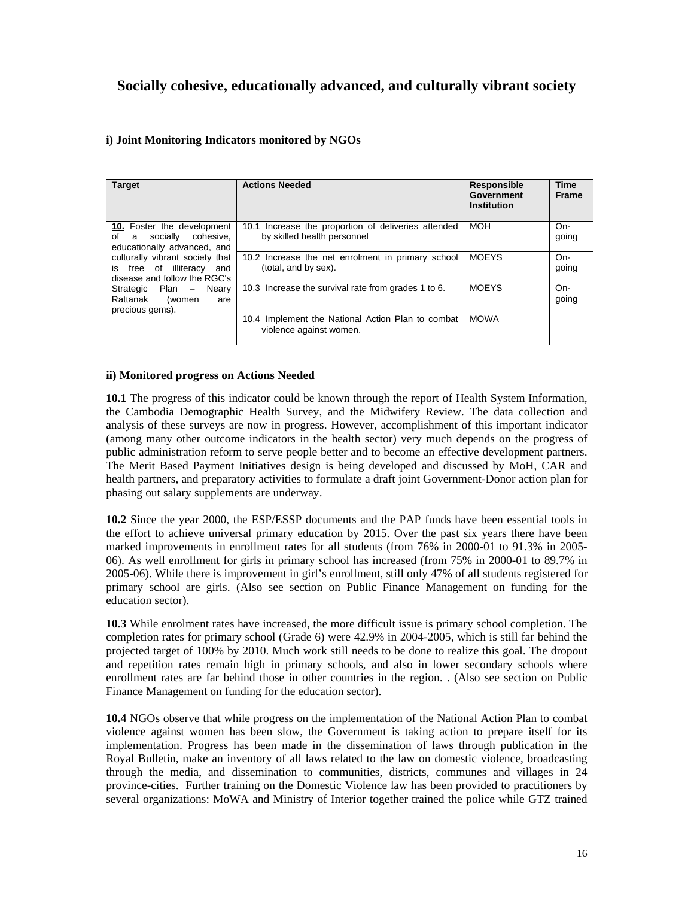### **Socially cohesive, educationally advanced, and culturally vibrant society**

### **i) Joint Monitoring Indicators monitored by NGOs**

| <b>Target</b>                                                                                                                                                          | <b>Actions Needed</b>                                                              | <b>Responsible</b><br>Government<br><b>Institution</b> | <b>Time</b><br><b>Frame</b> |
|------------------------------------------------------------------------------------------------------------------------------------------------------------------------|------------------------------------------------------------------------------------|--------------------------------------------------------|-----------------------------|
| <b>10.</b> Foster the development<br>of<br>socially cohesive.<br>a<br>educationally advanced, and                                                                      | 10.1 Increase the proportion of deliveries attended<br>by skilled health personnel | <b>MOH</b>                                             | On-<br>going                |
| culturally vibrant society that<br>is free of illiteracy and<br>disease and follow the RGC's<br>Strategic Plan - Neary<br>Rattanak<br>(women<br>are<br>precious gems). | 10.2 Increase the net enrolment in primary school<br>(total, and by sex).          | <b>MOEYS</b>                                           | On-<br>going                |
|                                                                                                                                                                        | 10.3 Increase the survival rate from grades 1 to 6.                                | <b>MOEYS</b>                                           | On-<br>going                |
|                                                                                                                                                                        | 10.4 Implement the National Action Plan to combat<br>violence against women.       | <b>MOWA</b>                                            |                             |

### **ii) Monitored progress on Actions Needed**

**10.1** The progress of this indicator could be known through the report of Health System Information, the Cambodia Demographic Health Survey, and the Midwifery Review. The data collection and analysis of these surveys are now in progress. However, accomplishment of this important indicator (among many other outcome indicators in the health sector) very much depends on the progress of public administration reform to serve people better and to become an effective development partners. The Merit Based Payment Initiatives design is being developed and discussed by MoH, CAR and health partners, and preparatory activities to formulate a draft joint Government-Donor action plan for phasing out salary supplements are underway.

**10.2** Since the year 2000, the ESP/ESSP documents and the PAP funds have been essential tools in the effort to achieve universal primary education by 2015. Over the past six years there have been marked improvements in enrollment rates for all students (from 76% in 2000-01 to 91.3% in 2005- 06). As well enrollment for girls in primary school has increased (from 75% in 2000-01 to 89.7% in 2005-06). While there is improvement in girl's enrollment, still only 47% of all students registered for primary school are girls. (Also see section on Public Finance Management on funding for the education sector).

**10.3** While enrolment rates have increased, the more difficult issue is primary school completion. The completion rates for primary school (Grade 6) were 42.9% in 2004-2005, which is still far behind the projected target of 100% by 2010. Much work still needs to be done to realize this goal. The dropout and repetition rates remain high in primary schools, and also in lower secondary schools where enrollment rates are far behind those in other countries in the region. . (Also see section on Public Finance Management on funding for the education sector).

**10.4** NGOs observe that while progress on the implementation of the National Action Plan to combat violence against women has been slow, the Government is taking action to prepare itself for its implementation. Progress has been made in the dissemination of laws through publication in the Royal Bulletin, make an inventory of all laws related to the law on domestic violence, broadcasting through the media, and dissemination to communities, districts, communes and villages in 24 province-cities. Further training on the Domestic Violence law has been provided to practitioners by several organizations: MoWA and Ministry of Interior together trained the police while GTZ trained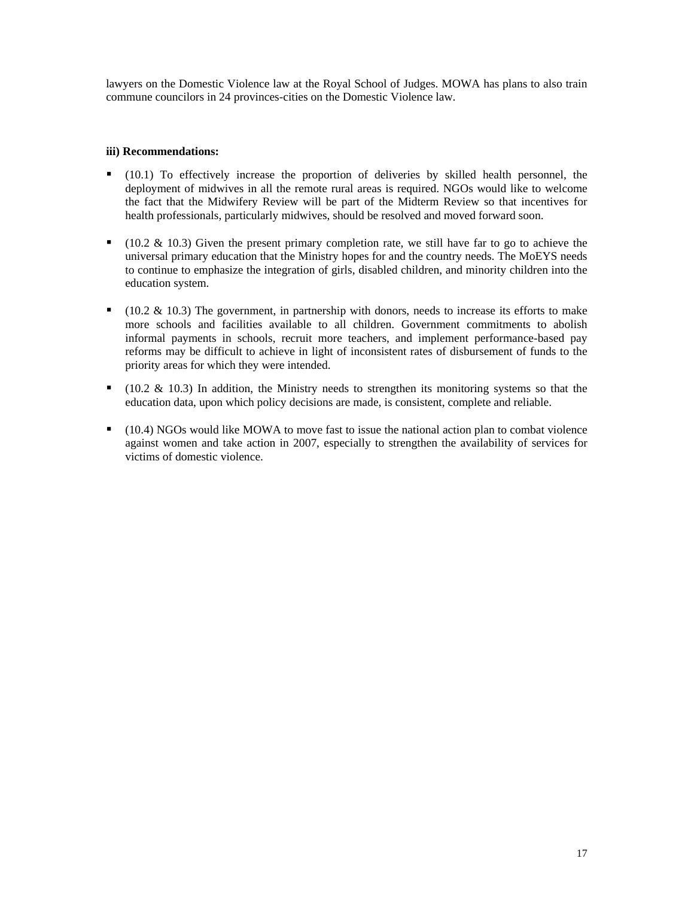lawyers on the Domestic Violence law at the Royal School of Judges. MOWA has plans to also train commune councilors in 24 provinces-cities on the Domestic Violence law.

### **iii) Recommendations:**

- (10.1) To effectively increase the proportion of deliveries by skilled health personnel, the deployment of midwives in all the remote rural areas is required. NGOs would like to welcome the fact that the Midwifery Review will be part of the Midterm Review so that incentives for health professionals, particularly midwives, should be resolved and moved forward soon.
- $(10.2 \& 10.3)$  Given the present primary completion rate, we still have far to go to achieve the universal primary education that the Ministry hopes for and the country needs. The MoEYS needs to continue to emphasize the integration of girls, disabled children, and minority children into the education system.
- $(10.2 \& 10.3)$  The government, in partnership with donors, needs to increase its efforts to make more schools and facilities available to all children. Government commitments to abolish informal payments in schools, recruit more teachers, and implement performance-based pay reforms may be difficult to achieve in light of inconsistent rates of disbursement of funds to the priority areas for which they were intended.
- $(10.2 \& 10.3)$  In addition, the Ministry needs to strengthen its monitoring systems so that the education data, upon which policy decisions are made, is consistent, complete and reliable.
- (10.4) NGOs would like MOWA to move fast to issue the national action plan to combat violence against women and take action in 2007, especially to strengthen the availability of services for victims of domestic violence.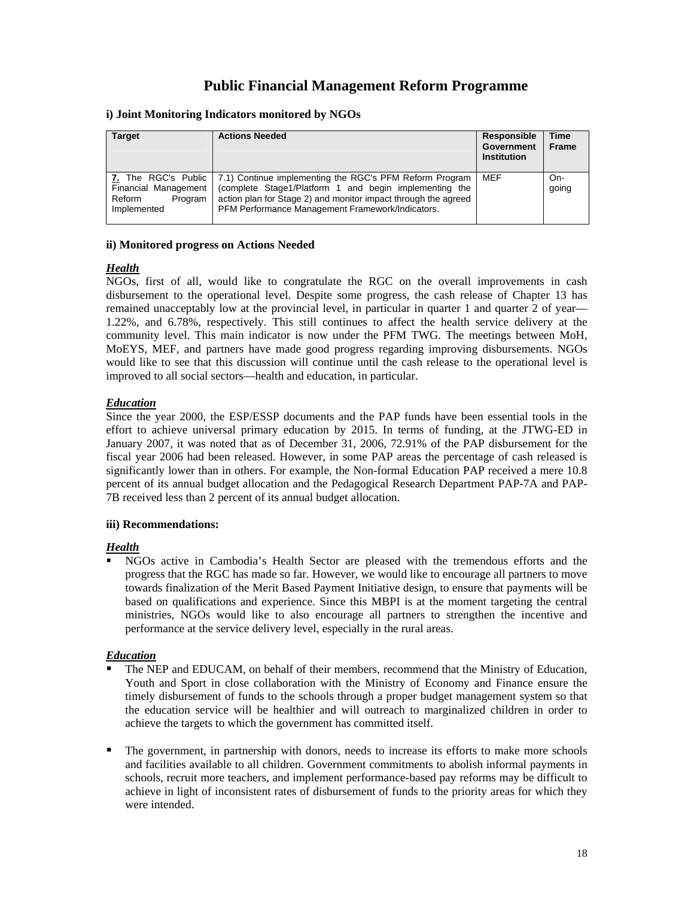### **Public Financial Management Reform Programme**

#### **i) Joint Monitoring Indicators monitored by NGOs**

| <b>Target</b>                                            | <b>Actions Needed</b>                                                                                                                                                                                                                                         | Responsible<br>Government<br><b>Institution</b> | <b>Time</b><br><b>Frame</b> |
|----------------------------------------------------------|---------------------------------------------------------------------------------------------------------------------------------------------------------------------------------------------------------------------------------------------------------------|-------------------------------------------------|-----------------------------|
| Financial Management<br>Reform<br>Program<br>Implemented | 7. The RGC's Public   7.1) Continue implementing the RGC's PFM Reform Program<br>(complete Stage1/Platform 1 and begin implementing the<br>action plan for Stage 2) and monitor impact through the agreed<br>PFM Performance Management Framework/Indicators. | MEF                                             | On-<br>going                |

### **ii) Monitored progress on Actions Needed**

### *Health*

NGOs, first of all, would like to congratulate the RGC on the overall improvements in cash disbursement to the operational level. Despite some progress, the cash release of Chapter 13 has remained unacceptably low at the provincial level, in particular in quarter 1 and quarter 2 of year— 1.22%, and 6.78%, respectively. This still continues to affect the health service delivery at the community level. This main indicator is now under the PFM TWG. The meetings between MoH, MoEYS, MEF, and partners have made good progress regarding improving disbursements. NGOs would like to see that this discussion will continue until the cash release to the operational level is improved to all social sectors—health and education, in particular.

### *Education*

Since the year 2000, the ESP/ESSP documents and the PAP funds have been essential tools in the effort to achieve universal primary education by 2015. In terms of funding, at the JTWG-ED in January 2007, it was noted that as of December 31, 2006, 72.91% of the PAP disbursement for the fiscal year 2006 had been released. However, in some PAP areas the percentage of cash released is significantly lower than in others. For example, the Non-formal Education PAP received a mere 10.8 percent of its annual budget allocation and the Pedagogical Research Department PAP-7A and PAP-7B received less than 2 percent of its annual budget allocation.

### **iii) Recommendations:**

### *Health*

 NGOs active in Cambodia's Health Sector are pleased with the tremendous efforts and the progress that the RGC has made so far. However, we would like to encourage all partners to move towards finalization of the Merit Based Payment Initiative design, to ensure that payments will be based on qualifications and experience. Since this MBPI is at the moment targeting the central ministries, NGOs would like to also encourage all partners to strengthen the incentive and performance at the service delivery level, especially in the rural areas.

### *Education*

- The NEP and EDUCAM, on behalf of their members, recommend that the Ministry of Education, Youth and Sport in close collaboration with the Ministry of Economy and Finance ensure the timely disbursement of funds to the schools through a proper budget management system so that the education service will be healthier and will outreach to marginalized children in order to achieve the targets to which the government has committed itself.
- The government, in partnership with donors, needs to increase its efforts to make more schools and facilities available to all children. Government commitments to abolish informal payments in schools, recruit more teachers, and implement performance-based pay reforms may be difficult to achieve in light of inconsistent rates of disbursement of funds to the priority areas for which they were intended.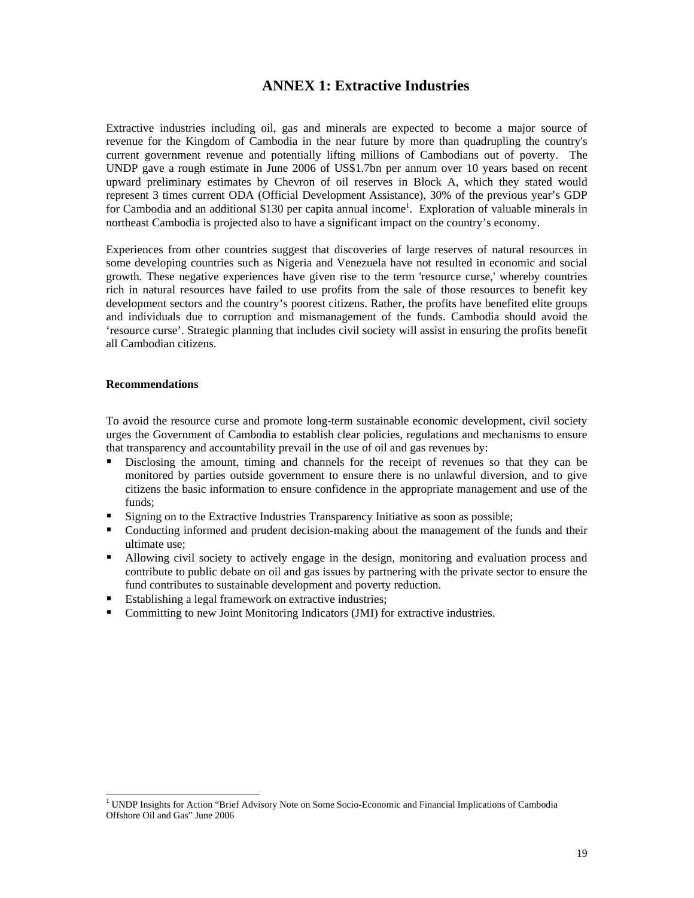### **ANNEX 1: Extractive Industries**

Extractive industries including oil, gas and minerals are expected to become a major source of revenue for the Kingdom of Cambodia in the near future by more than quadrupling the country's current government revenue and potentially lifting millions of Cambodians out of poverty. The UNDP gave a rough estimate in June 2006 of US\$1.7bn per annum over 10 years based on recent upward preliminary estimates by Chevron of oil reserves in Block A, which they stated would represent 3 times current ODA (Official Development Assistance), 30% of the previous year's GDP for Cambodia and an additional \$130 per capita annual income<sup>1</sup>. Exploration of valuable minerals in northeast Cambodia is projected also to have a significant impact on the country's economy.

Experiences from other countries suggest that discoveries of large reserves of natural resources in some developing countries such as Nigeria and Venezuela have not resulted in economic and social growth. These negative experiences have given rise to the term 'resource curse,' whereby countries rich in natural resources have failed to use profits from the sale of those resources to benefit key development sectors and the country's poorest citizens. Rather, the profits have benefited elite groups and individuals due to corruption and mismanagement of the funds. Cambodia should avoid the 'resource curse'. Strategic planning that includes civil society will assist in ensuring the profits benefit all Cambodian citizens.

#### **Recommendations**

l

To avoid the resource curse and promote long-term sustainable economic development, civil society urges the Government of Cambodia to establish clear policies, regulations and mechanisms to ensure that transparency and accountability prevail in the use of oil and gas revenues by:

- Disclosing the amount, timing and channels for the receipt of revenues so that they can be monitored by parties outside government to ensure there is no unlawful diversion, and to give citizens the basic information to ensure confidence in the appropriate management and use of the funds;
- **Signing on to the Extractive Industries Transparency Initiative as soon as possible;**
- Conducting informed and prudent decision-making about the management of the funds and their ultimate use;
- Allowing civil society to actively engage in the design, monitoring and evaluation process and contribute to public debate on oil and gas issues by partnering with the private sector to ensure the fund contributes to sustainable development and poverty reduction.
- Establishing a legal framework on extractive industries;
- Committing to new Joint Monitoring Indicators (JMI) for extractive industries.

<sup>&</sup>lt;sup>1</sup> UNDP Insights for Action "Brief Advisory Note on Some Socio-Economic and Financial Implications of Cambodia Offshore Oil and Gas" June 2006